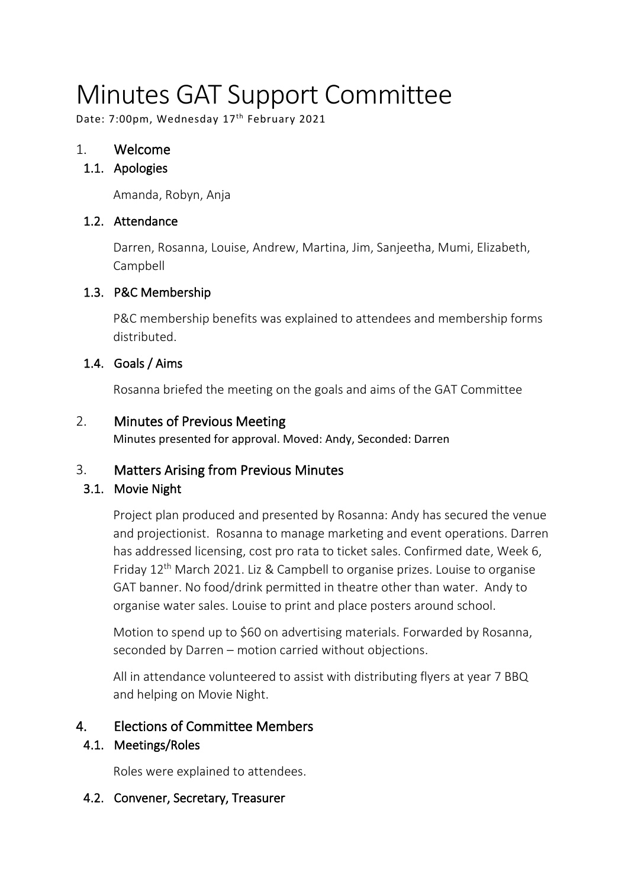# Minutes GAT Support Committee

Date: 7:00pm, Wednesday 17<sup>th</sup> February 2021

# 1. Welcome

## 1.1. Apologies

Amanda, Robyn, Anja

#### 1.2. Attendance

Darren, Rosanna, Louise, Andrew, Martina, Jim, Sanjeetha, Mumi, Elizabeth, Campbell

## 1.3. P&C Membership

P&C membership benefits was explained to attendees and membership forms distributed.

## 1.4. Goals / Aims

Rosanna briefed the meeting on the goals and aims of the GAT Committee

## 2. Minutes of Previous Meeting

Minutes presented for approval. Moved: Andy, Seconded: Darren

## 3. Matters Arising from Previous Minutes

## 3.1. Movie Night

Project plan produced and presented by Rosanna: Andy has secured the venue and projectionist. Rosanna to manage marketing and event operations. Darren has addressed licensing, cost pro rata to ticket sales. Confirmed date, Week 6, Friday  $12<sup>th</sup>$  March 2021. Liz & Campbell to organise prizes. Louise to organise GAT banner. No food/drink permitted in theatre other than water. Andy to organise water sales. Louise to print and place posters around school.

Motion to spend up to \$60 on advertising materials. Forwarded by Rosanna, seconded by Darren – motion carried without objections.

All in attendance volunteered to assist with distributing flyers at year 7 BBQ and helping on Movie Night.

# 4. Elections of Committee Members

## 4.1. Meetings/Roles

Roles were explained to attendees.

## 4.2. Convener, Secretary, Treasurer